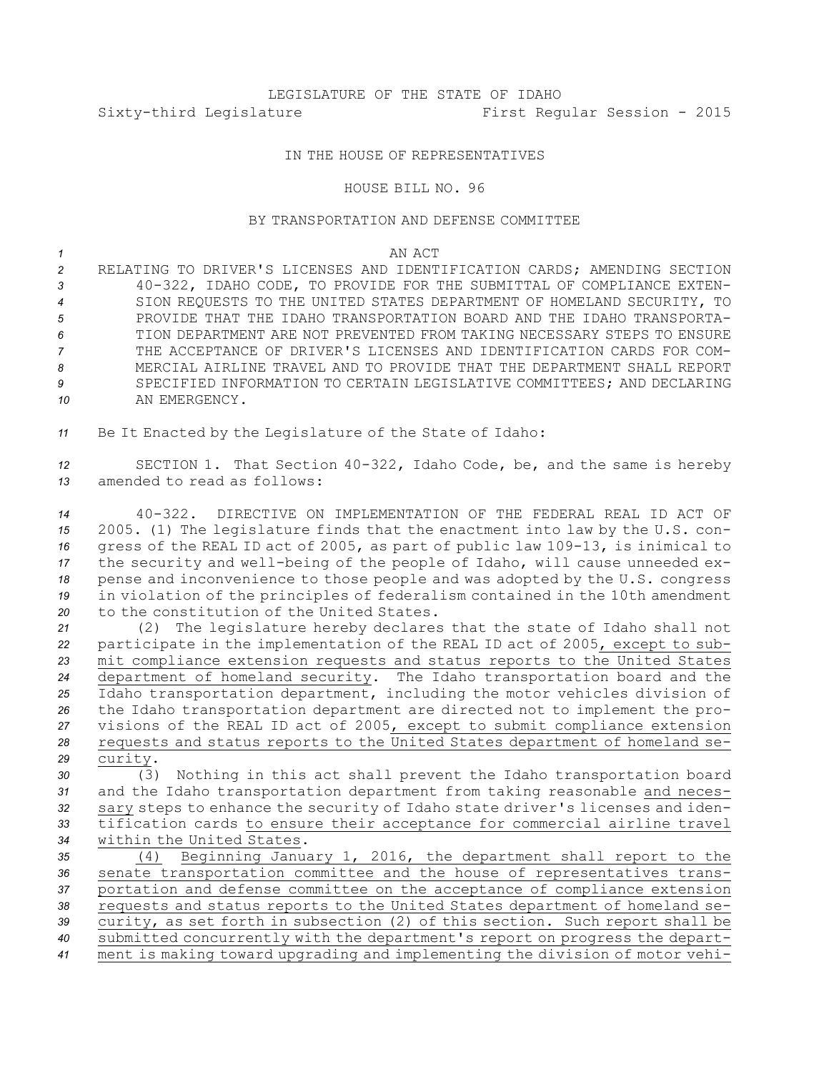# LEGISLATURE OF THE STATE OF IDAHO Sixty-third Legislature First Regular Session - 2015

#### IN THE HOUSE OF REPRESENTATIVES

#### HOUSE BILL NO. 96

### BY TRANSPORTATION AND DEFENSE COMMITTEE

*1* AN ACT

 RELATING TO DRIVER'S LICENSES AND IDENTIFICATION CARDS; AMENDING SECTION 40-322, IDAHO CODE, TO PROVIDE FOR THE SUBMITTAL OF COMPLIANCE EXTEN- SION REQUESTS TO THE UNITED STATES DEPARTMENT OF HOMELAND SECURITY, TO PROVIDE THAT THE IDAHO TRANSPORTATION BOARD AND THE IDAHO TRANSPORTA- TION DEPARTMENT ARE NOT PREVENTED FROM TAKING NECESSARY STEPS TO ENSURE THE ACCEPTANCE OF DRIVER'S LICENSES AND IDENTIFICATION CARDS FOR COM- MERCIAL AIRLINE TRAVEL AND TO PROVIDE THAT THE DEPARTMENT SHALL REPORT SPECIFIED INFORMATION TO CERTAIN LEGISLATIVE COMMITTEES; AND DECLARING AN EMERGENCY.

*<sup>11</sup>* Be It Enacted by the Legislature of the State of Idaho:

*<sup>12</sup>* SECTION 1. That Section 40-322, Idaho Code, be, and the same is hereby *13* amended to read as follows:

 40-322. DIRECTIVE ON IMPLEMENTATION OF THE FEDERAL REAL ID ACT OF 2005. (1) The legislature finds that the enactment into law by the U.S. con- gress of the REAL ID act of 2005, as part of public law 109-13, is inimical to the security and well-being of the people of Idaho, will cause unneeded ex- pense and inconvenience to those people and was adopted by the U.S. congress in violation of the principles of federalism contained in the 10th amendment to the constitution of the United States.

 (2) The legislature hereby declares that the state of Idaho shall not participate in the implementation of the REAL ID act of 2005, except to sub- mit compliance extension requests and status reports to the United States department of homeland security. The Idaho transportation board and the Idaho transportation department, including the motor vehicles division of the Idaho transportation department are directed not to implement the pro- visions of the REAL ID act of 2005, except to submit compliance extension requests and status reports to the United States department of homeland se-*<sup>29</sup>* curity.

 (3) Nothing in this act shall prevent the Idaho transportation board and the Idaho transportation department from taking reasonable and neces- sary steps to enhance the security of Idaho state driver's licenses and iden- tification cards to ensure their acceptance for commercial airline travel within the United States.

 (4) Beginning January 1, 2016, the department shall report to the senate transportation committee and the house of representatives trans- portation and defense committee on the acceptance of compliance extension requests and status reports to the United States department of homeland se- curity, as set forth in subsection (2) of this section. Such report shall be submitted concurrently with the department's report on progress the depart-ment is making toward upgrading and implementing the division of motor vehi-